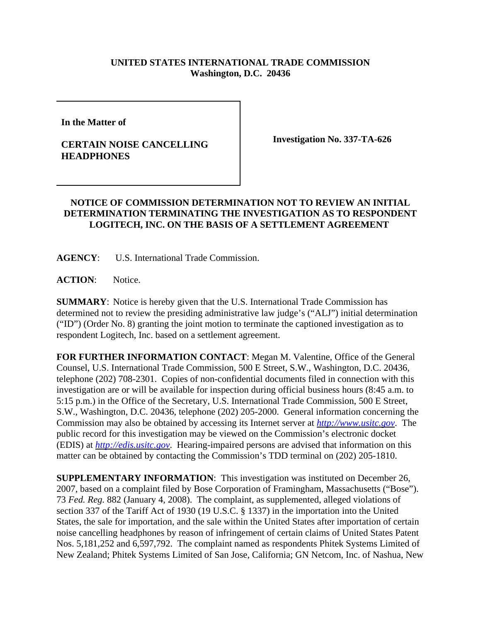## **UNITED STATES INTERNATIONAL TRADE COMMISSION Washington, D.C. 20436**

**In the Matter of** 

## **CERTAIN NOISE CANCELLING HEADPHONES**

**Investigation No. 337-TA-626**

## **NOTICE OF COMMISSION DETERMINATION NOT TO REVIEW AN INITIAL DETERMINATION TERMINATING THE INVESTIGATION AS TO RESPONDENT LOGITECH, INC. ON THE BASIS OF A SETTLEMENT AGREEMENT**

**AGENCY**: U.S. International Trade Commission.

**ACTION**: Notice.

**SUMMARY**: Notice is hereby given that the U.S. International Trade Commission has determined not to review the presiding administrative law judge's ("ALJ") initial determination ("ID") (Order No. 8) granting the joint motion to terminate the captioned investigation as to respondent Logitech, Inc. based on a settlement agreement.

**FOR FURTHER INFORMATION CONTACT**: Megan M. Valentine, Office of the General Counsel, U.S. International Trade Commission, 500 E Street, S.W., Washington, D.C. 20436, telephone (202) 708-2301. Copies of non-confidential documents filed in connection with this investigation are or will be available for inspection during official business hours (8:45 a.m. to 5:15 p.m.) in the Office of the Secretary, U.S. International Trade Commission, 500 E Street, S.W., Washington, D.C. 20436, telephone (202) 205-2000. General information concerning the Commission may also be obtained by accessing its Internet server at *http://www.usitc.gov*. The public record for this investigation may be viewed on the Commission's electronic docket (EDIS) at *http://edis.usitc.gov*. Hearing-impaired persons are advised that information on this matter can be obtained by contacting the Commission's TDD terminal on (202) 205-1810.

**SUPPLEMENTARY INFORMATION**: This investigation was instituted on December 26, 2007, based on a complaint filed by Bose Corporation of Framingham, Massachusetts ("Bose"). 73 *Fed. Reg.* 882 (January 4, 2008). The complaint, as supplemented, alleged violations of section 337 of the Tariff Act of 1930 (19 U.S.C. § 1337) in the importation into the United States, the sale for importation, and the sale within the United States after importation of certain noise cancelling headphones by reason of infringement of certain claims of United States Patent Nos. 5,181,252 and 6,597,792. The complaint named as respondents Phitek Systems Limited of New Zealand; Phitek Systems Limited of San Jose, California; GN Netcom, Inc. of Nashua, New